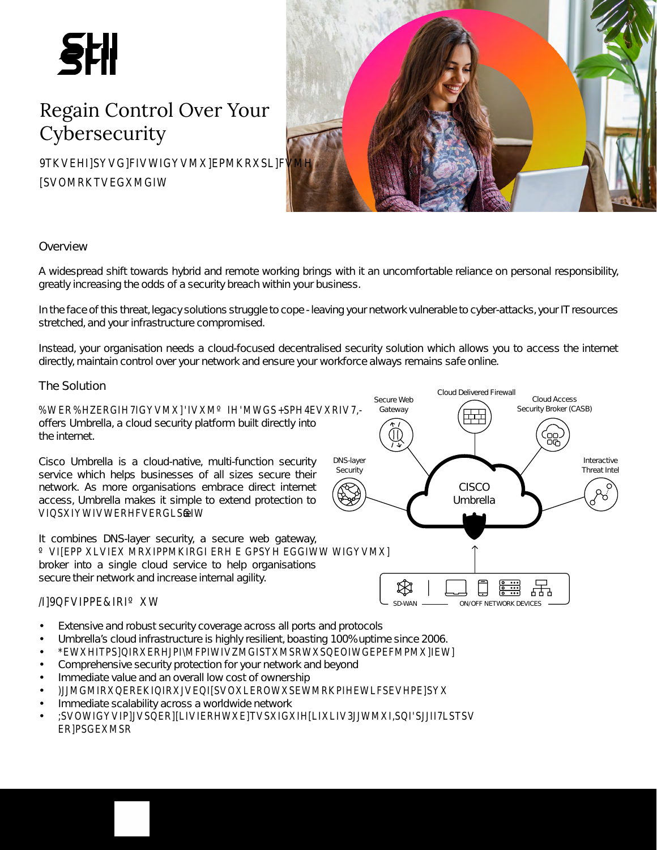A widespread shift towards hybrid and remote working brings with it an uncomfortable reliance on personal responsibility, greatly increasing the odds of a security breach within your business.

In the face of this threat, legacy solutions struggle to cope - leaving your network vulnerable to cyber-attacks, your IT resources stretched, and your infrastructure compromised.

Instead, your organisation needs a cloud-focused decentralised security solution which allows you to access the internet directly, maintain control over your network and ensure your workforce always remains safe online.

> Secure Web Gateway

### %WER%ERGIFGVMWMMAGSSEAVRIV7

offers Umbrella, a cloud security platform built directly into the internet.

Cisco Umbrella is a cloud-native, multi-function security service which helps businesses of all sizes secure their network. As more organisations embrace direct internet access, Umbrella makes it simple to extend protection to VISWWIVWERFIVERGS&W

It combines DNS-layer security, a secure web gateway, WIER YER MEINE GEHE GEWEGGIWW WIGY WI

broker into a single cloud service to help organisations secure their network and increase internal agility.



Cloud Delivered Firewall

Interactive Threat Intel

Cloud Access Security Broker (CASB)

- Extensive and robust security coverage across all ports and protocols
- Umbrella's cloud infrastructure is highly resilient, boasting 100% uptime since 2006.
- **EWATBIRKRUMIWGISTKARWSEOIWGEPFIYZMJ**
- Comprehensive security protection for your network and beyond
- Immediate value and an overall low cost of ownership
- )GIWERREKIGNOKROWSEWRKPEWESEVESX
- Immediate scalability across a worldwide network
- SVOWIGVIPSERINIERHWKTVSKGHWXIMXSUSJIISTSV **ERBGEKWR**